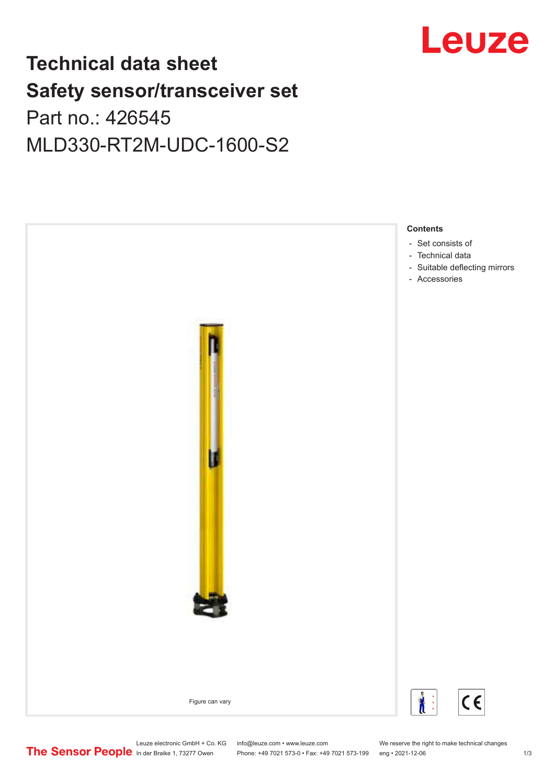## **Technical data sheet Safety sensor/transceiver set** Part no.: 426545

MLD330-RT2M-UDC-1600-S2



Phone: +49 7021 573-0 • Fax: +49 7021 573-199 eng • 2021-12-06

Leuze electronic GmbH + Co. KG info@leuze.com • www.leuze.com We reserve the right to make technical changes<br>
The Sensor People in der Braike 1, 73277 Owen Phone: +49 7021 573-0 • Fax: +49 7021 573-199 eng • 2021-12-06

# Leuze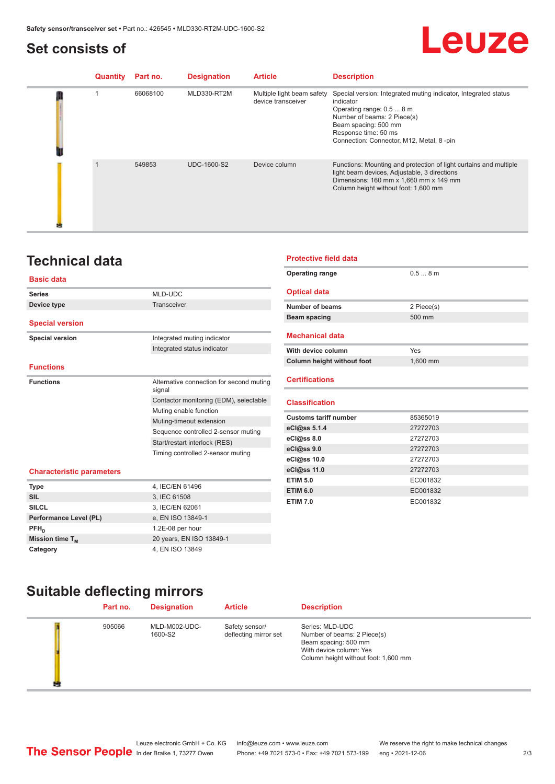### <span id="page-1-0"></span>**Set consists of**

## Leuze

| Quantity | Part no. | <b>Designation</b> | <b>Article</b>                                   | <b>Description</b>                                                                                                                                                                                                                    |
|----------|----------|--------------------|--------------------------------------------------|---------------------------------------------------------------------------------------------------------------------------------------------------------------------------------------------------------------------------------------|
|          | 66068100 | MLD330-RT2M        | Multiple light beam safety<br>device transceiver | Special version: Integrated muting indicator, Integrated status<br>indicator<br>Operating range: 0.5  8 m<br>Number of beams: 2 Piece(s)<br>Beam spacing: 500 mm<br>Response time: 50 ms<br>Connection: Connector, M12, Metal, 8 -pin |
|          | 549853   | <b>UDC-1600-S2</b> | Device column                                    | Functions: Mounting and protection of light curtains and multiple<br>light beam devices, Adjustable, 3 directions<br>Dimensions: 160 mm x 1,660 mm x 149 mm<br>Column height without foot: 1,600 mm                                   |

**Protective field data**

**Optical data**

**Mechanical data**

**Operating range** 0.5 ... 8 m

**Number of beams** 2 Piece(s) **Beam spacing 500 mm** 

## **Technical data**

#### **Basic data**

| <b>Series</b>                    | MLD-UDC                                                                                   |  |
|----------------------------------|-------------------------------------------------------------------------------------------|--|
| Device type                      | Transceiver                                                                               |  |
|                                  |                                                                                           |  |
| <b>Special version</b>           |                                                                                           |  |
| <b>Special version</b>           | Integrated muting indicator                                                               |  |
|                                  | Integrated status indicator                                                               |  |
|                                  |                                                                                           |  |
| <b>Functions</b>                 |                                                                                           |  |
| <b>Functions</b>                 | Alternative connection for second muting<br>signal                                        |  |
|                                  | Contactor monitoring (EDM), selectable                                                    |  |
|                                  | Muting enable function<br>Muting-timeout extension<br>Sequence controlled 2-sensor muting |  |
|                                  |                                                                                           |  |
|                                  |                                                                                           |  |
|                                  | Start/restart interlock (RES)                                                             |  |
|                                  | Timing controlled 2-sensor muting                                                         |  |
| <b>Characteristic parameters</b> |                                                                                           |  |
| Type                             | 4, IEC/EN 61496                                                                           |  |

| With device column                | Yes      |  |
|-----------------------------------|----------|--|
| <b>Column height without foot</b> | 1,600 mm |  |
| <b>Certifications</b>             |          |  |
| <b>Classification</b>             |          |  |
| <b>Customs tariff number</b>      | 85365019 |  |
| eCl@ss 5.1.4                      | 27272703 |  |
| eC <sub>1</sub> @ss 8.0           | 27272703 |  |
| eCl@ss 9.0                        | 27272703 |  |
| eCl@ss 10.0                       | 27272703 |  |
| eCl@ss 11.0                       | 27272703 |  |
| <b>ETIM 5.0</b>                   | EC001832 |  |
| <b>ETIM 6.0</b>                   | EC001832 |  |
| <b>ETIM 7.0</b>                   | EC001832 |  |

| <b>Type</b>                 | 4, IEC/EN 61496          |
|-----------------------------|--------------------------|
| <b>SIL</b>                  | 3, IEC 61508             |
| <b>SILCL</b>                | 3, IEC/EN 62061          |
| Performance Level (PL)      | e, EN ISO 13849-1        |
| $PFH_{n}$                   | 1.2E-08 per hour         |
| Mission time T <sub>M</sub> | 20 years, EN ISO 13849-1 |
| Category                    | 4, EN ISO 13849          |

| Part no. | <b>Designation</b>       | <b>Article</b>                          | <b>Description</b>                                                                                                                        |  |
|----------|--------------------------|-----------------------------------------|-------------------------------------------------------------------------------------------------------------------------------------------|--|
| 905066   | MLD-M002-UDC-<br>1600-S2 | Safety sensor/<br>deflecting mirror set | Series: MLD-UDC<br>Number of beams: 2 Piece(s)<br>Beam spacing: 500 mm<br>With device column: Yes<br>Column height without foot: 1,600 mm |  |

Leuze electronic GmbH + Co. KG info@leuze.com • www.leuze.com We reserve the right to make technical changes<br> **The Sensor People** in der Braike 1, 73277 Owen Phone: +49 7021 573-0 • Fax: +49 7021 573-199 eng • 2021-12-06

**Suitable deflecting mirrors**

Phone: +49 7021 573-0 • Fax: +49 7021 573-199 eng • 2021-12-06 2 73